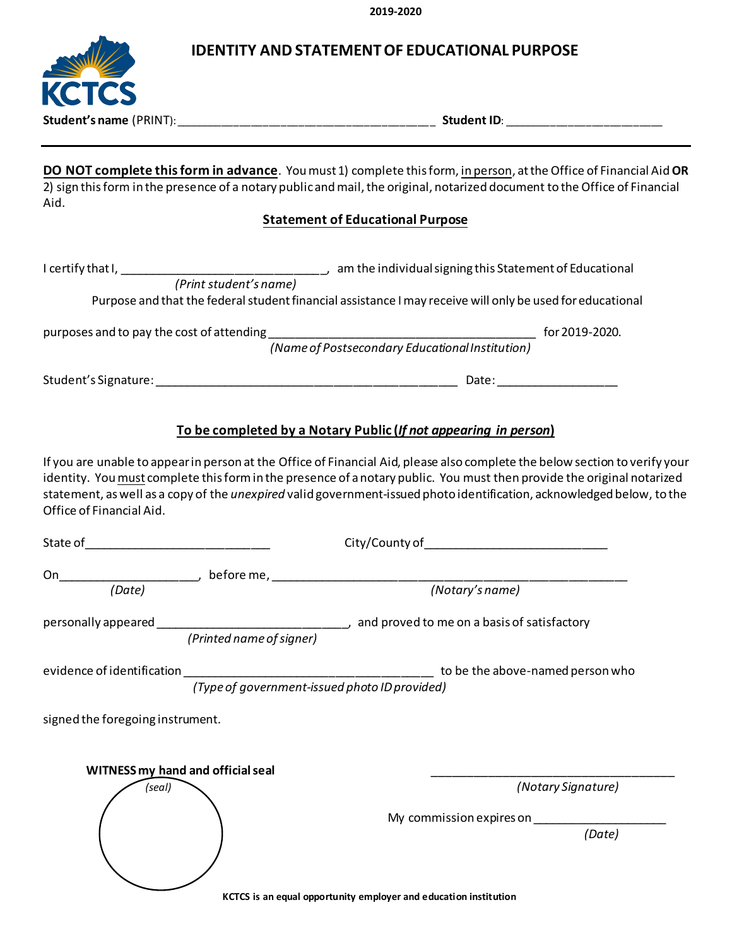**2019-2020**

| <b>IDENTITY AND STATEMENT OF EDUCATIONAL PURPOSE</b> |  |
|------------------------------------------------------|--|
|                                                      |  |

|                                                    | <b>IDENTITY AND STATEMENT OF EDUCATIONAL PURPOSE</b>                                                                                                                                                                                                                                                                                                                                                                                                      |
|----------------------------------------------------|-----------------------------------------------------------------------------------------------------------------------------------------------------------------------------------------------------------------------------------------------------------------------------------------------------------------------------------------------------------------------------------------------------------------------------------------------------------|
| <b>KCTCS</b>                                       |                                                                                                                                                                                                                                                                                                                                                                                                                                                           |
| Aid.                                               | DO NOT complete this form in advance. You must 1) complete this form, in person, at the Office of Financial Aid OR<br>2) sign this form in the presence of a notary public and mail, the original, notarized document to the Office of Financial<br><b>Statement of Educational Purpose</b>                                                                                                                                                               |
|                                                    |                                                                                                                                                                                                                                                                                                                                                                                                                                                           |
|                                                    | Purpose and that the federal student financial assistance I may receive will only be used for educational                                                                                                                                                                                                                                                                                                                                                 |
|                                                    |                                                                                                                                                                                                                                                                                                                                                                                                                                                           |
|                                                    |                                                                                                                                                                                                                                                                                                                                                                                                                                                           |
| Office of Financial Aid.                           | To be completed by a Notary Public (If not appearing in person)<br>If you are unable to appear in person at the Office of Financial Aid, please also complete the below section to verify your<br>identity. You must complete this form in the presence of a notary public. You must then provide the original notarized<br>statement, as well as a copy of the <i>unexpired</i> valid government-issued photo identification, acknowledged below, to the |
|                                                    |                                                                                                                                                                                                                                                                                                                                                                                                                                                           |
| On                                                 |                                                                                                                                                                                                                                                                                                                                                                                                                                                           |
| (Date)                                             | (Notary's name)                                                                                                                                                                                                                                                                                                                                                                                                                                           |
|                                                    |                                                                                                                                                                                                                                                                                                                                                                                                                                                           |
| evidence of identification                         | (Type of government-issued photo ID provided) to be the above-named person who                                                                                                                                                                                                                                                                                                                                                                            |
| signed the foregoing instrument.                   |                                                                                                                                                                                                                                                                                                                                                                                                                                                           |
| <b>WITNESS my hand and official seal</b><br>(seal) | (Notary Signature)<br>(Date)                                                                                                                                                                                                                                                                                                                                                                                                                              |
|                                                    | KCTCS is an equal opportunity employer and education institution                                                                                                                                                                                                                                                                                                                                                                                          |